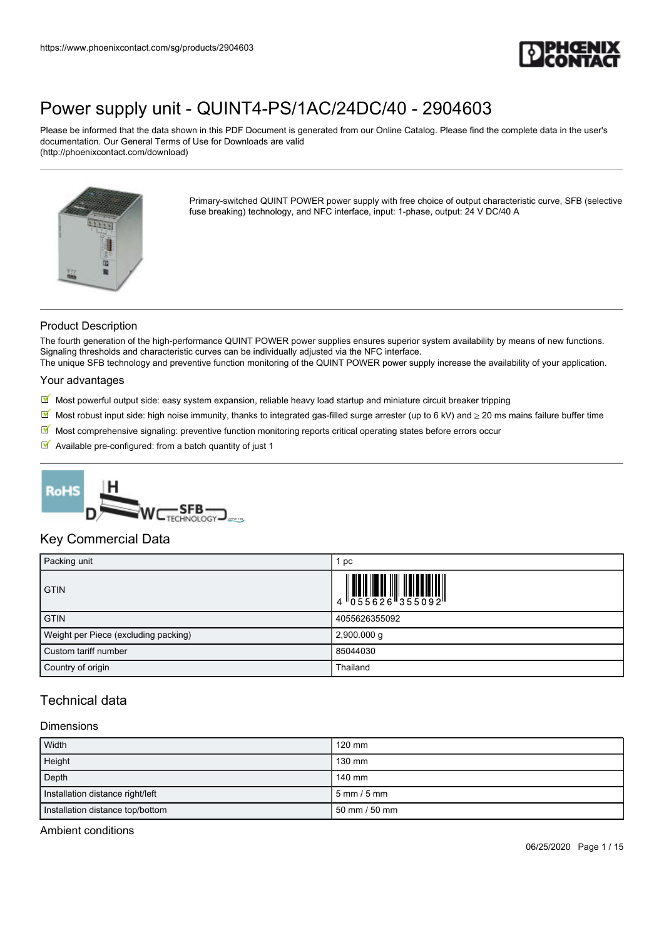

Please be informed that the data shown in this PDF Document is generated from our Online Catalog. Please find the complete data in the user's documentation. Our General Terms of Use for Downloads are valid (http://phoenixcontact.com/download)



Primary-switched QUINT POWER power supply with free choice of output characteristic curve, SFB (selective fuse breaking) technology, and NFC interface, input: 1-phase, output: 24 V DC/40 A

### Product Description

The fourth generation of the high-performance QUINT POWER power supplies ensures superior system availability by means of new functions. Signaling thresholds and characteristic curves can be individually adjusted via the NFC interface.

The unique SFB technology and preventive function monitoring of the QUINT POWER power supply increase the availability of your application.

#### Your advantages

- Most powerful output side: easy system expansion, reliable heavy load startup and miniature circuit breaker tripping
- Most robust input side: high noise immunity, thanks to integrated gas-filled surge arrester (up to 6 kV) and  $\geq$  20 ms mains failure buffer time
- $\boxtimes'$  Most comprehensive signaling: preventive function monitoring reports critical operating states before errors occur
- $\blacksquare$  Available pre-configured: from a batch quantity of just 1



### Key Commercial Data

| Packing unit                         | 1 pc                                                                                                                                                                                                                                                                                                                           |
|--------------------------------------|--------------------------------------------------------------------------------------------------------------------------------------------------------------------------------------------------------------------------------------------------------------------------------------------------------------------------------|
| <b>GTIN</b>                          | $\begin{array}{c} 1 & 0 & 0 & 0 \\ 0 & 0 & 0 & 0 \\ 0 & 0 & 0 & 0 \\ 0 & 0 & 0 & 0 \\ 0 & 0 & 0 & 0 \\ 0 & 0 & 0 & 0 \\ 0 & 0 & 0 & 0 \\ 0 & 0 & 0 & 0 \\ 0 & 0 & 0 & 0 \\ 0 & 0 & 0 & 0 \\ 0 & 0 & 0 & 0 \\ 0 & 0 & 0 & 0 \\ 0 & 0 & 0 & 0 & 0 \\ 0 & 0 & 0 & 0 & 0 \\ 0 & 0 & 0 & 0 & 0 \\ 0 & 0 & 0 & 0 & 0 \\ 0 & 0 & 0 &$ |
| <b>GTIN</b>                          | 4055626355092                                                                                                                                                                                                                                                                                                                  |
| Weight per Piece (excluding packing) | $2,900.000$ g                                                                                                                                                                                                                                                                                                                  |
| Custom tariff number                 | 85044030                                                                                                                                                                                                                                                                                                                       |
| Country of origin                    | Thailand                                                                                                                                                                                                                                                                                                                       |

## Technical data

## Dimensions

| <b>Width</b>                     | $120$ mm                      |
|----------------------------------|-------------------------------|
| Height                           | 130 mm                        |
| Depth                            | 140 mm                        |
| Installation distance right/left | $5 \text{ mm} / 5 \text{ mm}$ |
| Installation distance top/bottom | 50 mm / 50 mm                 |

Ambient conditions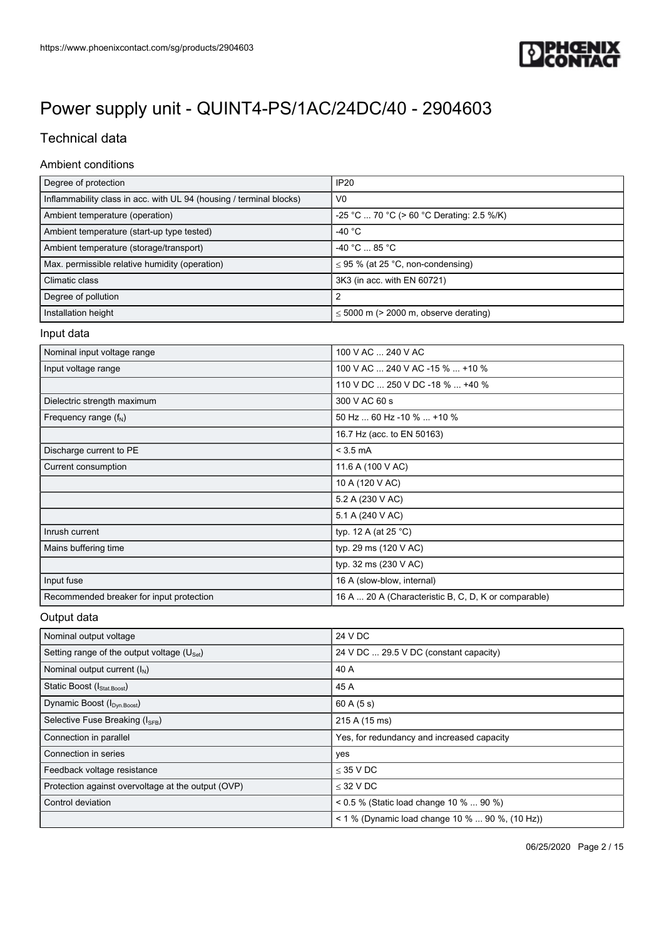

# Technical data

## Ambient conditions

| Degree of protection                                                | <b>IP20</b>                                          |
|---------------------------------------------------------------------|------------------------------------------------------|
| Inflammability class in acc. with UL 94 (housing / terminal blocks) | V <sub>0</sub>                                       |
| Ambient temperature (operation)                                     | -25 °C  70 °C (> 60 °C Derating: 2.5 %/K)            |
| Ambient temperature (start-up type tested)                          | $-40 °C$                                             |
| Ambient temperature (storage/transport)                             | $-40 °C  85 °C$                                      |
| Max. permissible relative humidity (operation)                      | $\leq$ 95 % (at 25 °C, non-condensing)               |
| Climatic class                                                      | 3K3 (in acc. with EN 60721)                          |
| Degree of pollution                                                 | 2                                                    |
| Installation height                                                 | $\leq$ 5000 m (> 2000 m, observe derating)           |
| Input data                                                          |                                                      |
| Nominal input voltage range                                         | 100 V AC  240 V AC                                   |
| Input voltage range                                                 | 100 V AC  240 V AC -15 %  +10 %                      |
|                                                                     | 110 V DC  250 V DC -18 %  +40 %                      |
| Dielectric strength maximum                                         | 300 V AC 60 s                                        |
| Frequency range $(f_N)$                                             | 50 Hz  60 Hz -10 %  +10 %                            |
|                                                                     | 16.7 Hz (acc. to EN 50163)                           |
| Discharge current to PE                                             | $<$ 3.5 mA                                           |
| Current consumption                                                 | 11.6 A (100 V AC)                                    |
|                                                                     | 10 A (120 V AC)                                      |
|                                                                     | 5.2 A (230 V AC)                                     |
|                                                                     | 5.1 A (240 V AC)                                     |
| Inrush current                                                      | typ. 12 A (at 25 °C)                                 |
| Mains buffering time                                                | typ. 29 ms (120 V AC)                                |
|                                                                     | typ. 32 ms (230 V AC)                                |
| Input fuse                                                          | 16 A (slow-blow, internal)                           |
| Recommended breaker for input protection                            | 16 A  20 A (Characteristic B, C, D, K or comparable) |

## Output data

| Nominal output voltage                                 | 24 V DC                                         |
|--------------------------------------------------------|-------------------------------------------------|
| Setting range of the output voltage $(U_{\text{Set}})$ | 24 V DC  29.5 V DC (constant capacity)          |
| Nominal output current $(I_N)$                         | 40 A                                            |
| Static Boost (I <sub>Stat.Boost</sub> )                | 45 A                                            |
| Dynamic Boost (I <sub>Dyn.Boost</sub> )                | 60A(5s)                                         |
| Selective Fuse Breaking (ISEB)                         | 215 A (15 ms)                                   |
| Connection in parallel                                 | Yes, for redundancy and increased capacity      |
| Connection in series                                   | yes                                             |
| Feedback voltage resistance                            | $<$ 35 V DC                                     |
| Protection against overvoltage at the output (OVP)     | $<$ 32 V DC                                     |
| Control deviation                                      | $0.5\%$ (Static load change 10 %  90 %)         |
|                                                        | < 1 % (Dynamic load change 10 %  90 %, (10 Hz)) |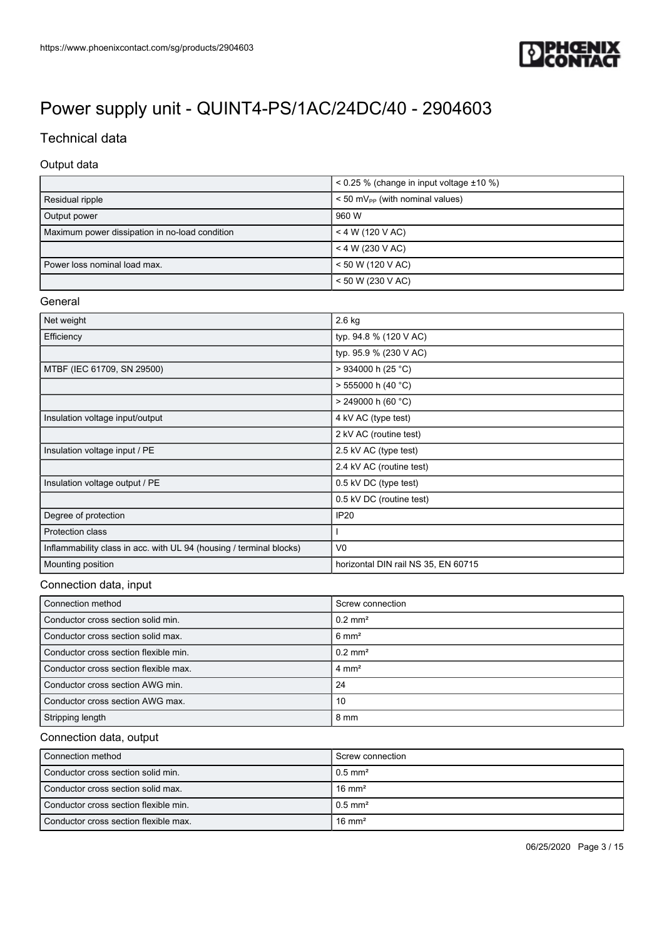

# Technical data

### Output data

|                                                | $< 0.25$ % (change in input voltage $\pm 10$ %) |
|------------------------------------------------|-------------------------------------------------|
| Residual ripple                                | $<$ 50 mV <sub>pp</sub> (with nominal values)   |
| Output power                                   | 960 W                                           |
| Maximum power dissipation in no-load condition | $<$ 4 W (120 V AC)                              |
|                                                | $<$ 4 W (230 V AC)                              |
| Power loss nominal load max.                   | $\leq 50$ W (120 V AC)                          |
|                                                | < 50 W (230 V AC)                               |

### General

| Net weight                                                          | $2.6$ kg                            |
|---------------------------------------------------------------------|-------------------------------------|
| Efficiency                                                          | typ. 94.8 % (120 V AC)              |
|                                                                     | typ. 95.9 % (230 V AC)              |
| MTBF (IEC 61709, SN 29500)                                          | > 934000 h (25 °C)                  |
|                                                                     | $> 555000$ h (40 °C)                |
|                                                                     | $> 249000$ h (60 °C)                |
| Insulation voltage input/output                                     | 4 kV AC (type test)                 |
|                                                                     | 2 kV AC (routine test)              |
| Insulation voltage input / PE                                       | 2.5 kV AC (type test)               |
|                                                                     | 2.4 kV AC (routine test)            |
| Insulation voltage output / PE                                      | 0.5 kV DC (type test)               |
|                                                                     | 0.5 kV DC (routine test)            |
| Degree of protection                                                | <b>IP20</b>                         |
| Protection class                                                    |                                     |
| Inflammability class in acc. with UL 94 (housing / terminal blocks) | V <sub>0</sub>                      |
| Mounting position                                                   | horizontal DIN rail NS 35, EN 60715 |

## Connection data, input

| Connection method                     | Screw connection      |
|---------------------------------------|-----------------------|
| Conductor cross section solid min.    | $0.2$ mm <sup>2</sup> |
| Conductor cross section solid max.    | $6 \text{ mm}^2$      |
| Conductor cross section flexible min. | $0.2$ mm <sup>2</sup> |
| Conductor cross section flexible max. | $4 \text{ mm}^2$      |
| Conductor cross section AWG min.      | -24                   |
| Conductor cross section AWG max.      | -10                   |
| Stripping length                      | $8 \text{ mm}$        |

### Connection data, output

| l Connection method                   | Screw connection       |
|---------------------------------------|------------------------|
| l Conductor cross section solid min.  | $10.5$ mm <sup>2</sup> |
| Conductor cross section solid max.    | $16 \text{ mm}^2$      |
| Conductor cross section flexible min. | $10.5$ mm <sup>2</sup> |
| Conductor cross section flexible max. | $16 \text{ mm}^2$      |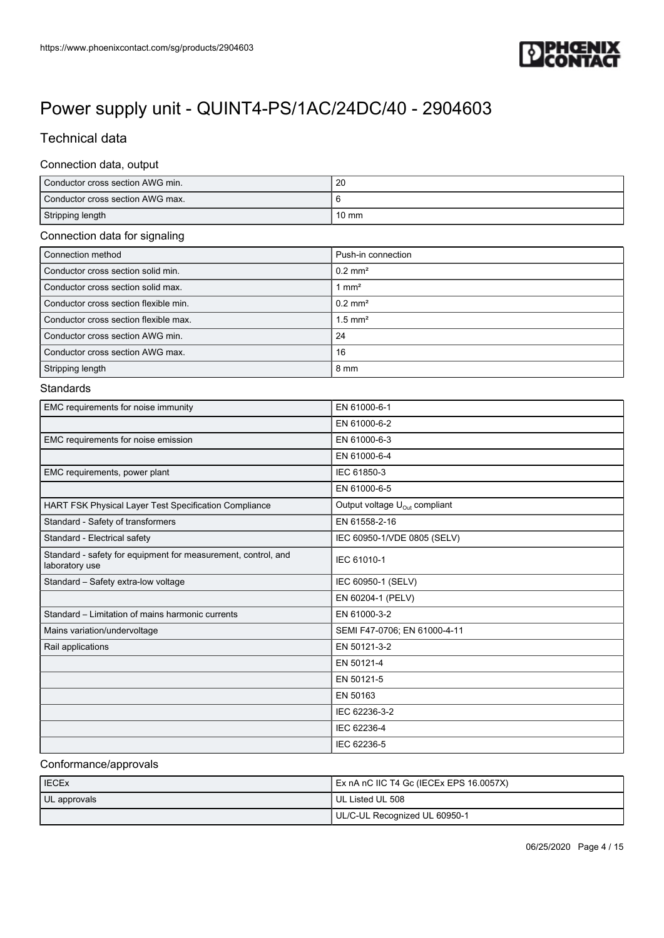

# Technical data

#### Connection data, output

| Conductor cross section AWG min. | 20              |
|----------------------------------|-----------------|
| Conductor cross section AWG max. |                 |
| Stripping length                 | $10 \text{ mm}$ |

## Connection data for signaling

| Connection method                     | Push-in connection    |
|---------------------------------------|-----------------------|
| Conductor cross section solid min.    | $0.2$ mm <sup>2</sup> |
| Conductor cross section solid max.    | 1 mm <sup>2</sup>     |
| Conductor cross section flexible min. | $0.2$ mm <sup>2</sup> |
| Conductor cross section flexible max. | $1.5$ mm <sup>2</sup> |
| Conductor cross section AWG min.      | 24                    |
| Conductor cross section AWG max.      | 16                    |
| Stripping length                      | 8 mm                  |

### **Standards**

| EMC requirements for noise immunity                                             | EN 61000-6-1                              |
|---------------------------------------------------------------------------------|-------------------------------------------|
|                                                                                 | EN 61000-6-2                              |
| EMC requirements for noise emission                                             | EN 61000-6-3                              |
|                                                                                 | EN 61000-6-4                              |
| EMC requirements, power plant                                                   | IEC 61850-3                               |
|                                                                                 | EN 61000-6-5                              |
| HART FSK Physical Layer Test Specification Compliance                           | Output voltage U <sub>Out</sub> compliant |
| Standard - Safety of transformers                                               | EN 61558-2-16                             |
| Standard - Electrical safety                                                    | IEC 60950-1/VDE 0805 (SELV)               |
| Standard - safety for equipment for measurement, control, and<br>laboratory use | IEC 61010-1                               |
| Standard - Safety extra-low voltage                                             | IEC 60950-1 (SELV)                        |
|                                                                                 | EN 60204-1 (PELV)                         |
| Standard - Limitation of mains harmonic currents                                | EN 61000-3-2                              |
| Mains variation/undervoltage                                                    | SEMI F47-0706; EN 61000-4-11              |
| Rail applications                                                               | EN 50121-3-2                              |
|                                                                                 | EN 50121-4                                |
|                                                                                 | EN 50121-5                                |
|                                                                                 | EN 50163                                  |
|                                                                                 | IEC 62236-3-2                             |
|                                                                                 | IEC 62236-4                               |
|                                                                                 | IEC 62236-5                               |

### Conformance/approvals

| <b>IECEx</b> | Ex nA nC IIC T4 Gc (IECEx EPS 16.0057X) |
|--------------|-----------------------------------------|
| UL approvals | l UL Listed UL 508                      |
|              | UL/C-UL Recognized UL 60950-1           |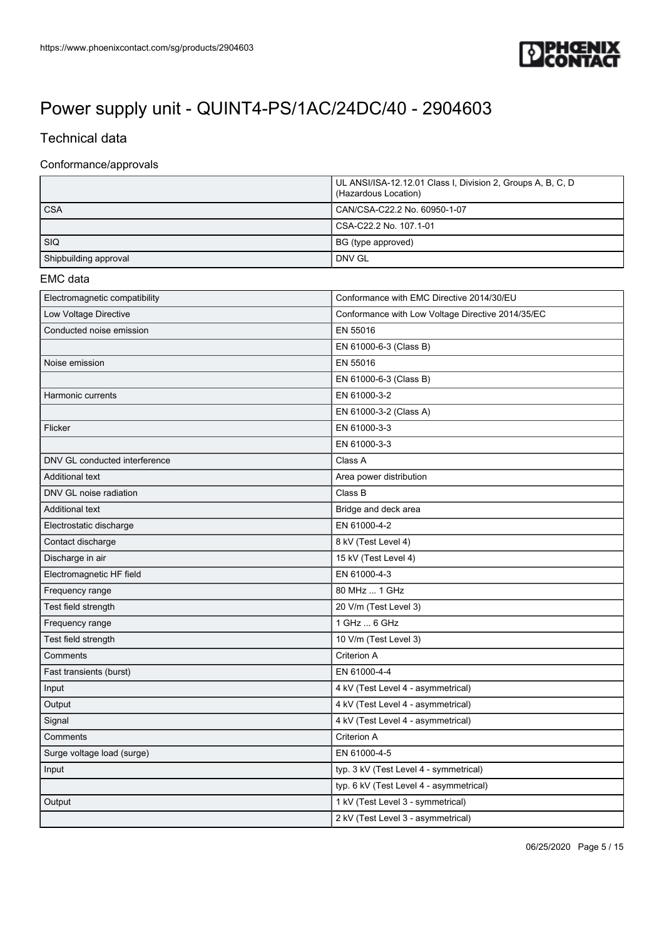

# Technical data

### Conformance/approvals

|                       | UL ANSI/ISA-12.12.01 Class I, Division 2, Groups A, B, C, D<br>(Hazardous Location) |
|-----------------------|-------------------------------------------------------------------------------------|
| <b>CSA</b>            | CAN/CSA-C22.2 No. 60950-1-07                                                        |
|                       | CSA-C22.2 No. 107.1-01                                                              |
| <b>SIQ</b>            | BG (type approved)                                                                  |
| Shipbuilding approval | DNV GL                                                                              |

#### EMC data

| Electromagnetic compatibility | Conformance with EMC Directive 2014/30/EU         |
|-------------------------------|---------------------------------------------------|
| Low Voltage Directive         | Conformance with Low Voltage Directive 2014/35/EC |
| Conducted noise emission      | EN 55016                                          |
|                               | EN 61000-6-3 (Class B)                            |
| Noise emission                | EN 55016                                          |
|                               | EN 61000-6-3 (Class B)                            |
| Harmonic currents             | EN 61000-3-2                                      |
|                               | EN 61000-3-2 (Class A)                            |
| Flicker                       | EN 61000-3-3                                      |
|                               | EN 61000-3-3                                      |
| DNV GL conducted interference | Class A                                           |
| <b>Additional text</b>        | Area power distribution                           |
| DNV GL noise radiation        | Class B                                           |
| <b>Additional text</b>        | Bridge and deck area                              |
| Electrostatic discharge       | EN 61000-4-2                                      |
| Contact discharge             | 8 kV (Test Level 4)                               |
| Discharge in air              | 15 kV (Test Level 4)                              |
| Electromagnetic HF field      | EN 61000-4-3                                      |
| Frequency range               | 80 MHz  1 GHz                                     |
| Test field strength           | 20 V/m (Test Level 3)                             |
| Frequency range               | 1 GHz  6 GHz                                      |
| Test field strength           | 10 V/m (Test Level 3)                             |
| Comments                      | Criterion A                                       |
| Fast transients (burst)       | EN 61000-4-4                                      |
| Input                         | 4 kV (Test Level 4 - asymmetrical)                |
| Output                        | 4 kV (Test Level 4 - asymmetrical)                |
| Signal                        | 4 kV (Test Level 4 - asymmetrical)                |
| Comments                      | Criterion A                                       |
| Surge voltage load (surge)    | EN 61000-4-5                                      |
| Input                         | typ. 3 kV (Test Level 4 - symmetrical)            |
|                               | typ. 6 kV (Test Level 4 - asymmetrical)           |
| Output                        | 1 kV (Test Level 3 - symmetrical)                 |
|                               | 2 kV (Test Level 3 - asymmetrical)                |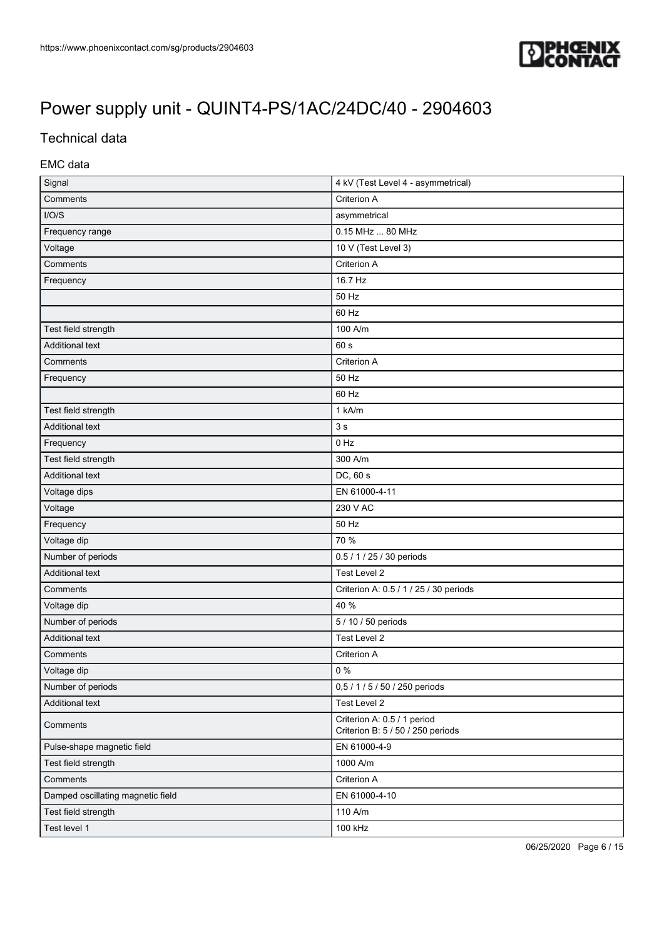

# Technical data

## EMC data

| Signal                            | 4 kV (Test Level 4 - asymmetrical)                               |  |
|-----------------------------------|------------------------------------------------------------------|--|
| Comments                          | Criterion A                                                      |  |
| I/O/S                             | asymmetrical                                                     |  |
| Frequency range                   | 0.15 MHz  80 MHz                                                 |  |
| Voltage                           | 10 V (Test Level 3)                                              |  |
| Comments                          | Criterion A                                                      |  |
| Frequency                         | 16.7 Hz                                                          |  |
|                                   | 50 Hz                                                            |  |
|                                   | 60 Hz                                                            |  |
| Test field strength               | 100 A/m                                                          |  |
| <b>Additional text</b>            | 60 s                                                             |  |
| Comments                          | Criterion A                                                      |  |
| Frequency                         | 50 Hz                                                            |  |
|                                   | 60 Hz                                                            |  |
| Test field strength               | 1 kA/m                                                           |  |
| Additional text                   | 3s                                                               |  |
| Frequency                         | 0 Hz                                                             |  |
| Test field strength               | 300 A/m                                                          |  |
| Additional text                   | DC, 60 s                                                         |  |
| Voltage dips                      | EN 61000-4-11                                                    |  |
| Voltage                           | 230 V AC                                                         |  |
| Frequency                         | 50 Hz                                                            |  |
| Voltage dip                       | 70 %                                                             |  |
| Number of periods                 | 0.5 / 1 / 25 / 30 periods                                        |  |
| Additional text                   | Test Level 2                                                     |  |
| Comments                          | Criterion A: 0.5 / 1 / 25 / 30 periods                           |  |
| Voltage dip                       | 40 %                                                             |  |
| Number of periods                 | 5 / 10 / 50 periods                                              |  |
| <b>Additional text</b>            | Test Level 2                                                     |  |
| Comments                          | Criterion A                                                      |  |
| Voltage dip                       | $0\%$                                                            |  |
| Number of periods                 | 0,5 / 1 / 5 / 50 / 250 periods                                   |  |
| <b>Additional text</b>            | Test Level 2                                                     |  |
| Comments                          | Criterion A: 0.5 / 1 period<br>Criterion B: 5 / 50 / 250 periods |  |
| Pulse-shape magnetic field        | EN 61000-4-9                                                     |  |
| Test field strength               | 1000 A/m                                                         |  |
| Comments                          | Criterion A                                                      |  |
| Damped oscillating magnetic field | EN 61000-4-10                                                    |  |
| Test field strength               | 110 A/m                                                          |  |
| Test level 1                      | 100 kHz                                                          |  |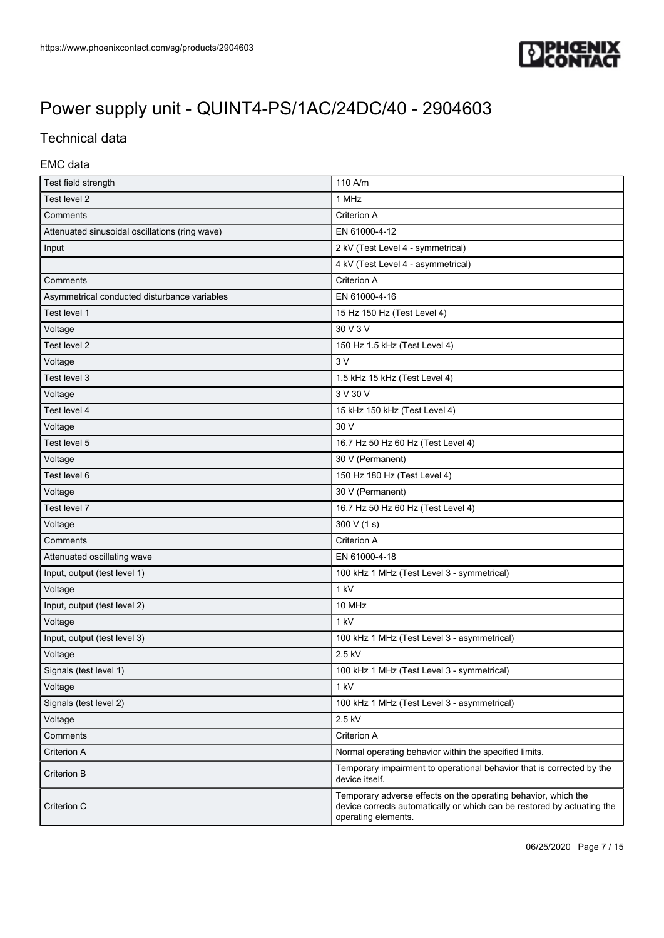

# Technical data

## EMC data

| Test field strength                            | 110 A/m                                                                                                                                                          |
|------------------------------------------------|------------------------------------------------------------------------------------------------------------------------------------------------------------------|
| Test level 2                                   | 1 MHz                                                                                                                                                            |
| Comments                                       | Criterion A                                                                                                                                                      |
| Attenuated sinusoidal oscillations (ring wave) | EN 61000-4-12                                                                                                                                                    |
| Input                                          | 2 kV (Test Level 4 - symmetrical)                                                                                                                                |
|                                                | 4 kV (Test Level 4 - asymmetrical)                                                                                                                               |
| Comments                                       | Criterion A                                                                                                                                                      |
| Asymmetrical conducted disturbance variables   | EN 61000-4-16                                                                                                                                                    |
| Test level 1                                   | 15 Hz 150 Hz (Test Level 4)                                                                                                                                      |
| Voltage                                        | 30 V 3 V                                                                                                                                                         |
| Test level 2                                   | 150 Hz 1.5 kHz (Test Level 4)                                                                                                                                    |
| Voltage                                        | 3V                                                                                                                                                               |
| Test level 3                                   | 1.5 kHz 15 kHz (Test Level 4)                                                                                                                                    |
| Voltage                                        | 3 V 30 V                                                                                                                                                         |
| Test level 4                                   | 15 kHz 150 kHz (Test Level 4)                                                                                                                                    |
| Voltage                                        | 30 V                                                                                                                                                             |
| Test level 5                                   | 16.7 Hz 50 Hz 60 Hz (Test Level 4)                                                                                                                               |
| Voltage                                        | 30 V (Permanent)                                                                                                                                                 |
| Test level 6                                   | 150 Hz 180 Hz (Test Level 4)                                                                                                                                     |
| Voltage                                        | 30 V (Permanent)                                                                                                                                                 |
| Test level 7                                   | 16.7 Hz 50 Hz 60 Hz (Test Level 4)                                                                                                                               |
| Voltage                                        | 300 V (1 s)                                                                                                                                                      |
| Comments                                       | Criterion A                                                                                                                                                      |
| Attenuated oscillating wave                    | EN 61000-4-18                                                                                                                                                    |
| Input, output (test level 1)                   | 100 kHz 1 MHz (Test Level 3 - symmetrical)                                                                                                                       |
| Voltage                                        | 1 kV                                                                                                                                                             |
| Input, output (test level 2)                   | 10 MHz                                                                                                                                                           |
| Voltage                                        | 1 kV                                                                                                                                                             |
| Input, output (test level 3)                   | 100 kHz 1 MHz (Test Level 3 - asymmetrical)                                                                                                                      |
| Voltage                                        | 2.5 kV                                                                                                                                                           |
| Signals (test level 1)                         | 100 kHz 1 MHz (Test Level 3 - symmetrical)                                                                                                                       |
| Voltage                                        | 1 kV                                                                                                                                                             |
| Signals (test level 2)                         | 100 kHz 1 MHz (Test Level 3 - asymmetrical)                                                                                                                      |
| Voltage                                        | 2.5 kV                                                                                                                                                           |
| Comments                                       | Criterion A                                                                                                                                                      |
| Criterion A                                    | Normal operating behavior within the specified limits.                                                                                                           |
| Criterion B                                    | Temporary impairment to operational behavior that is corrected by the<br>device itself.                                                                          |
| Criterion C                                    | Temporary adverse effects on the operating behavior, which the<br>device corrects automatically or which can be restored by actuating the<br>operating elements. |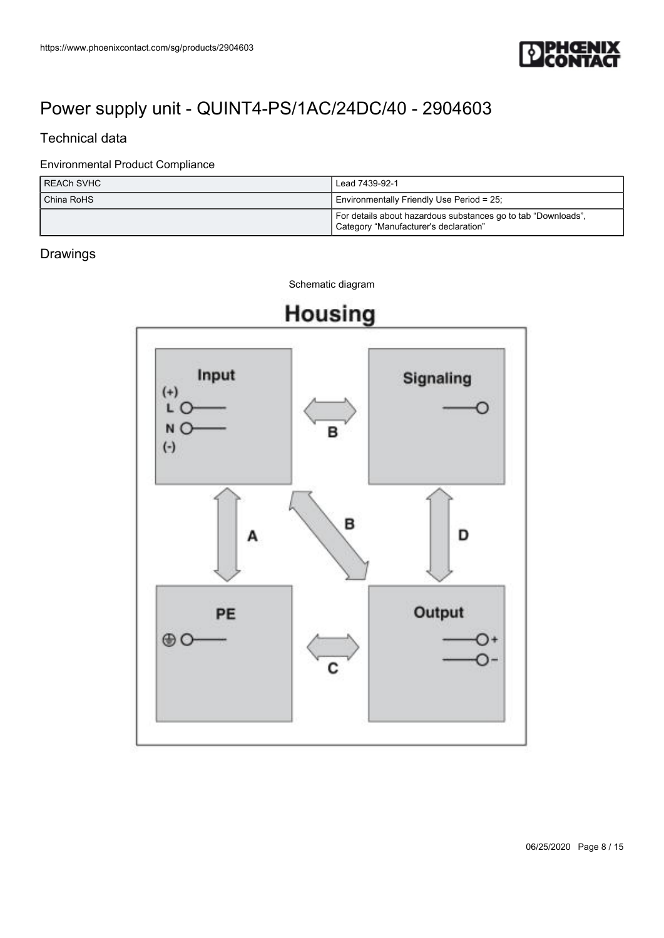

# Technical data

## Environmental Product Compliance

| I REACh SVHC   | Lead 7439-92-1                                                                                         |  |
|----------------|--------------------------------------------------------------------------------------------------------|--|
| l China RoHS l | Environmentally Friendly Use Period = 25;                                                              |  |
|                | For details about hazardous substances go to tab "Downloads",<br>Category "Manufacturer's declaration" |  |

# Drawings



Schematic diagram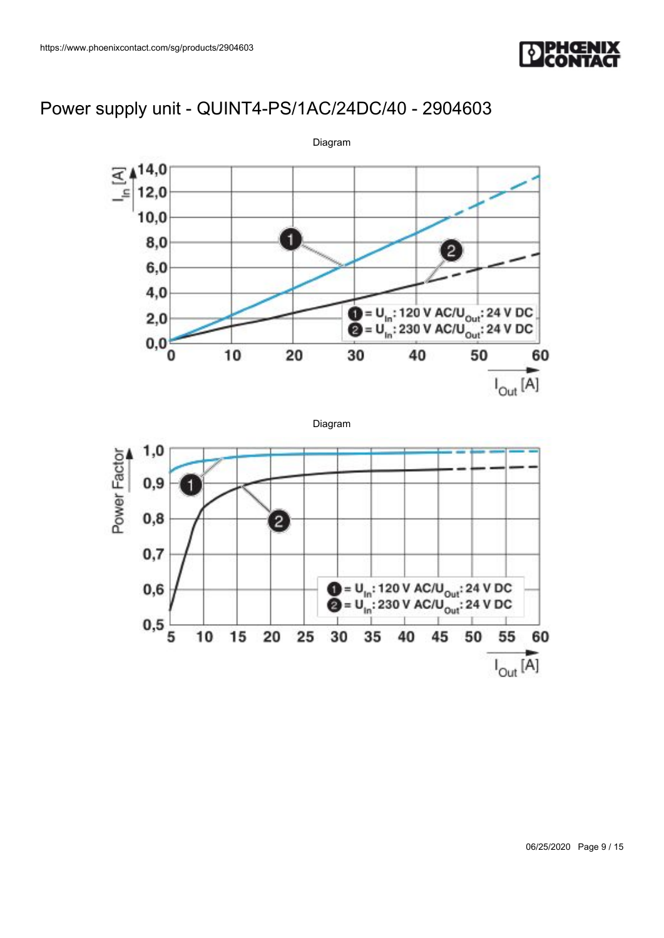



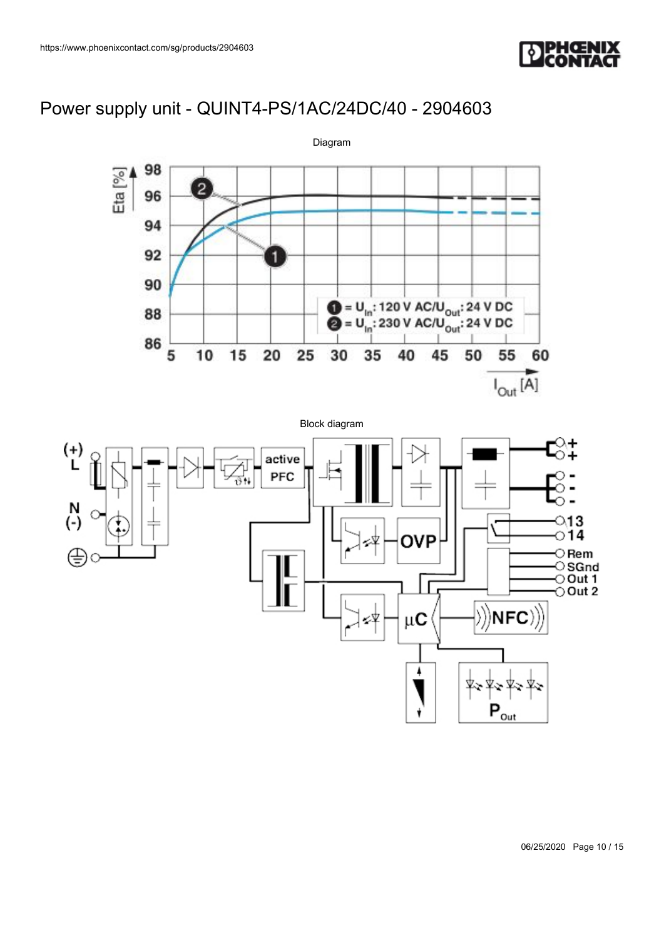





06/25/2020 Page 10 / 15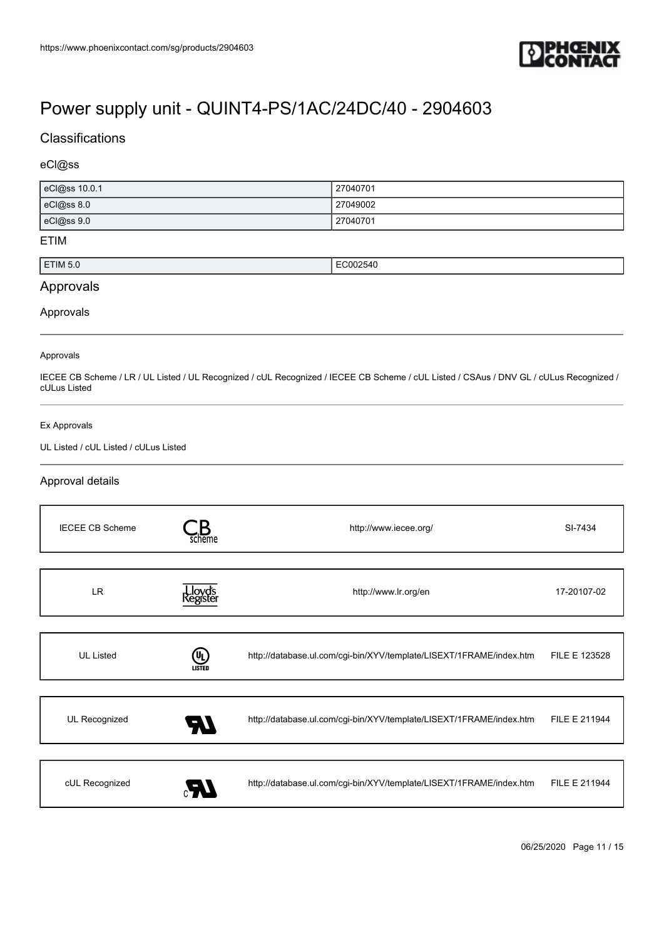

## **Classifications**

### eCl@ss

| eCl@ss 10.0.1 | 27040701 |
|---------------|----------|
| eCl@ss 8.0    | 27049002 |
| eCl@ss 9.0    | 27040701 |

#### ETIM

| $'$ IM 5.6 | <br>71<br>. |
|------------|-------------|
|            |             |

## Approvals

#### Approvals

#### Approvals

IECEE CB Scheme / LR / UL Listed / UL Recognized / cUL Recognized / IECEE CB Scheme / cUL Listed / CSAus / DNV GL / cULus Recognized / cULus Listed

#### Ex Approvals

### UL Listed / cUL Listed / cULus Listed

### Approval details

| <b>IECEE CB Scheme</b> | scheme         | http://www.iecee.org/                                               | SI-7434       |
|------------------------|----------------|---------------------------------------------------------------------|---------------|
|                        |                |                                                                     |               |
| LR.                    |                | http://www.lr.org/en                                                | 17-20107-02   |
|                        |                |                                                                     |               |
| <b>UL Listed</b>       | (UL)<br>LISTED | http://database.ul.com/cgi-bin/XYV/template/LISEXT/1FRAME/index.htm | FILE E 123528 |
|                        |                |                                                                     |               |
| UL Recognized          | 70             | http://database.ul.com/cgi-bin/XYV/template/LISEXT/1FRAME/index.htm | FILE E 211944 |
|                        |                |                                                                     |               |
| cUL Recognized         |                | http://database.ul.com/cgi-bin/XYV/template/LISEXT/1FRAME/index.htm | FILE E 211944 |

06/25/2020 Page 11 / 15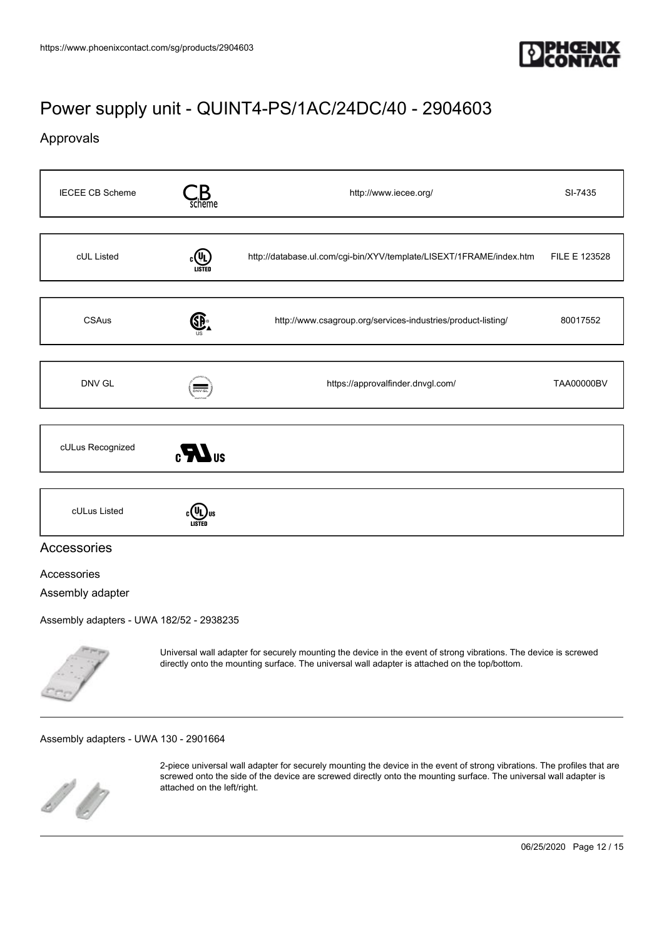

## Approvals

| <b>IECEE CB Scheme</b> | scheme            | http://www.iecee.org/                                               | SI-7435       |
|------------------------|-------------------|---------------------------------------------------------------------|---------------|
|                        |                   |                                                                     |               |
| cUL Listed             | <b>CON LISTED</b> | http://database.ul.com/cgi-bin/XYV/template/LISEXT/1FRAME/index.htm | FILE E 123528 |
|                        |                   |                                                                     |               |
| <b>CSAus</b>           | GP.               | http://www.csagroup.org/services-industries/product-listing/        | 80017552      |
|                        |                   |                                                                     |               |
| DNV GL                 | <b>DNV-GL</b>     | https://approvalfinder.dnvgl.com/                                   | TAA00000BV    |
|                        |                   |                                                                     |               |
| cULus Recognized       | $\sum_{s}$        |                                                                     |               |
|                        |                   |                                                                     |               |
| cULus Listed           |                   |                                                                     |               |
| Accessories            |                   |                                                                     |               |
| Accessories            |                   |                                                                     |               |
| Assembly adapter       |                   |                                                                     |               |

[Assembly adapters - UWA 182/52 - 2938235](https://www.phoenixcontact.com/sg/products/2938235)



Universal wall adapter for securely mounting the device in the event of strong vibrations. The device is screwed directly onto the mounting surface. The universal wall adapter is attached on the top/bottom.

#### [Assembly adapters - UWA 130 - 2901664](https://www.phoenixcontact.com/sg/products/2901664)



2-piece universal wall adapter for securely mounting the device in the event of strong vibrations. The profiles that are screwed onto the side of the device are screwed directly onto the mounting surface. The universal wall adapter is attached on the left/right.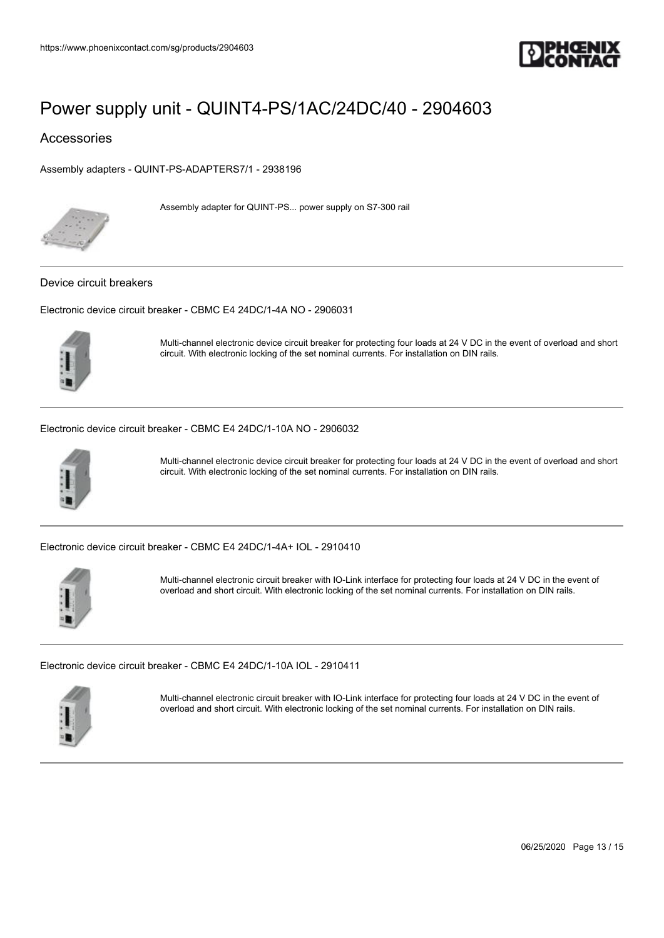

Accessories

[Assembly adapters - QUINT-PS-ADAPTERS7/1 - 2938196](https://www.phoenixcontact.com/sg/products/2938196)



Assembly adapter for QUINT-PS... power supply on S7-300 rail

#### Device circuit breakers

[Electronic device circuit breaker - CBMC E4 24DC/1-4A NO - 2906031](https://www.phoenixcontact.com/sg/products/2906031)



Multi-channel electronic device circuit breaker for protecting four loads at 24 V DC in the event of overload and short circuit. With electronic locking of the set nominal currents. For installation on DIN rails.

[Electronic device circuit breaker - CBMC E4 24DC/1-10A NO - 2906032](https://www.phoenixcontact.com/sg/products/2906032)



Multi-channel electronic device circuit breaker for protecting four loads at 24 V DC in the event of overload and short circuit. With electronic locking of the set nominal currents. For installation on DIN rails.

[Electronic device circuit breaker - CBMC E4 24DC/1-4A+ IOL - 2910410](https://www.phoenixcontact.com/sg/products/2910410)



Multi-channel electronic circuit breaker with IO-Link interface for protecting four loads at 24 V DC in the event of overload and short circuit. With electronic locking of the set nominal currents. For installation on DIN rails.

[Electronic device circuit breaker - CBMC E4 24DC/1-10A IOL - 2910411](https://www.phoenixcontact.com/sg/products/2910411)



Multi-channel electronic circuit breaker with IO-Link interface for protecting four loads at 24 V DC in the event of overload and short circuit. With electronic locking of the set nominal currents. For installation on DIN rails.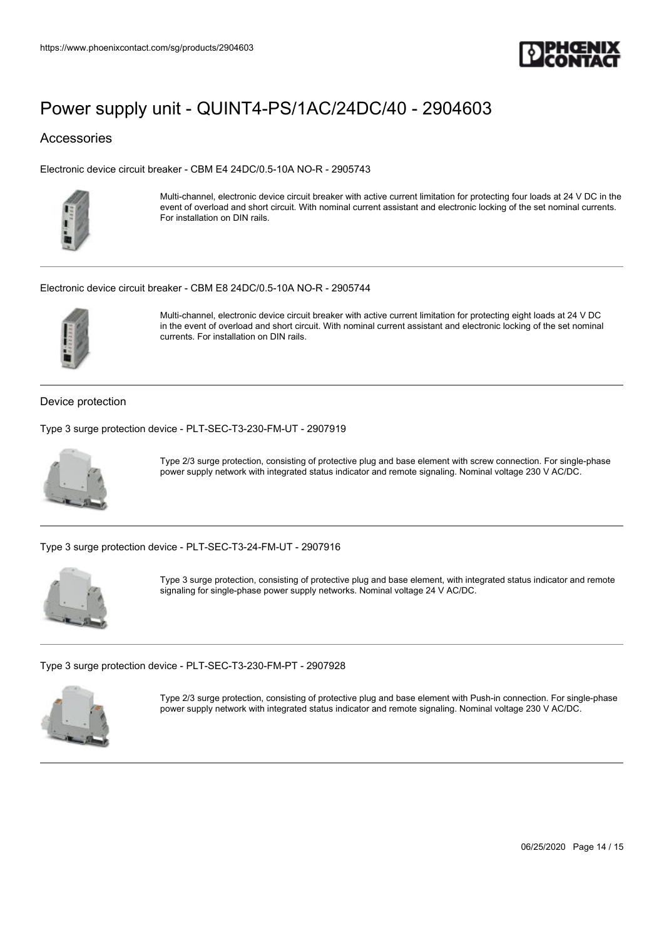

## Accessories

[Electronic device circuit breaker - CBM E4 24DC/0.5-10A NO-R - 2905743](https://www.phoenixcontact.com/sg/products/2905743)



Multi-channel, electronic device circuit breaker with active current limitation for protecting four loads at 24 V DC in the event of overload and short circuit. With nominal current assistant and electronic locking of the set nominal currents. For installation on DIN rails.

#### [Electronic device circuit breaker - CBM E8 24DC/0.5-10A NO-R - 2905744](https://www.phoenixcontact.com/sg/products/2905744)



Multi-channel, electronic device circuit breaker with active current limitation for protecting eight loads at 24 V DC in the event of overload and short circuit. With nominal current assistant and electronic locking of the set nominal currents. For installation on DIN rails.

### Device protection

[Type 3 surge protection device - PLT-SEC-T3-230-FM-UT - 2907919](https://www.phoenixcontact.com/sg/products/2907919)



Type 2/3 surge protection, consisting of protective plug and base element with screw connection. For single-phase power supply network with integrated status indicator and remote signaling. Nominal voltage 230 V AC/DC.

[Type 3 surge protection device - PLT-SEC-T3-24-FM-UT - 2907916](https://www.phoenixcontact.com/sg/products/2907916)



Type 3 surge protection, consisting of protective plug and base element, with integrated status indicator and remote signaling for single-phase power supply networks. Nominal voltage 24 V AC/DC.

[Type 3 surge protection device - PLT-SEC-T3-230-FM-PT - 2907928](https://www.phoenixcontact.com/sg/products/2907928)



Type 2/3 surge protection, consisting of protective plug and base element with Push-in connection. For single-phase power supply network with integrated status indicator and remote signaling. Nominal voltage 230 V AC/DC.